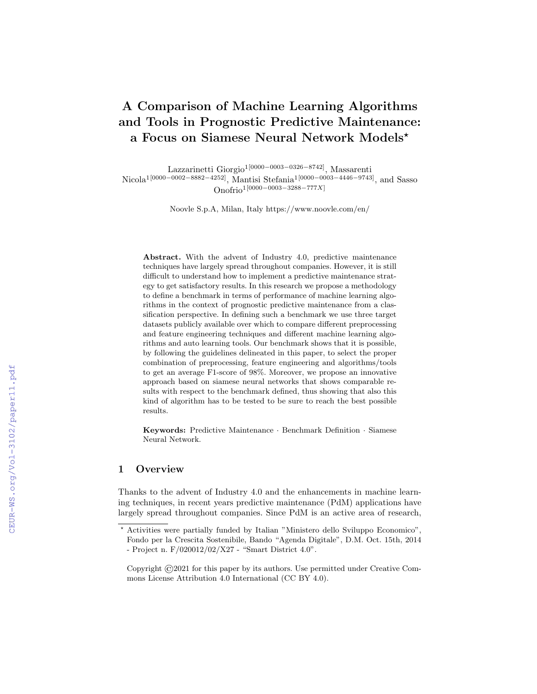# A Comparison of Machine Learning Algorithms and Tools in Prognostic Predictive Maintenance: a Focus on Siamese Neural Network Models?

Lazzarinetti Giorgio1[0000−0003−0326−8742], Massarenti Nicola<sup>1</sup>[0000−0002−8882−4252], Mantisi Stefania<sup>1</sup>[0000−0003−4446−9743]<sub>,</sub> and Sasso Onofrio1[0000−0003−3288−777X]

Noovle S.p.A, Milan, Italy https://www.noovle.com/en/

Abstract. With the advent of Industry 4.0, predictive maintenance techniques have largely spread throughout companies. However, it is still difficult to understand how to implement a predictive maintenance strategy to get satisfactory results. In this research we propose a methodology to define a benchmark in terms of performance of machine learning algorithms in the context of prognostic predictive maintenance from a classification perspective. In defining such a benchmark we use three target datasets publicly available over which to compare different preprocessing and feature engineering techniques and different machine learning algorithms and auto learning tools. Our benchmark shows that it is possible, by following the guidelines delineated in this paper, to select the proper combination of preprocessing, feature engineering and algorithms/tools to get an average F1-score of 98%. Moreover, we propose an innovative approach based on siamese neural networks that shows comparable results with respect to the benchmark defined, thus showing that also this kind of algorithm has to be tested to be sure to reach the best possible results.

Keywords: Predictive Maintenance · Benchmark Definition · Siamese Neural Network.

## 1 Overview

Thanks to the advent of Industry 4.0 and the enhancements in machine learning techniques, in recent years predictive maintenance (PdM) applications have largely spread throughout companies. Since PdM is an active area of research,

<sup>?</sup> Activities were partially funded by Italian "Ministero dello Sviluppo Economico", Fondo per la Crescita Sostenibile, Bando "Agenda Digitale", D.M. Oct. 15th, 2014 - Project n. F/020012/02/X27 - "Smart District 4.0".

Copyright ©2021 for this paper by its authors. Use permitted under Creative Commons License Attribution 4.0 International (CC BY 4.0).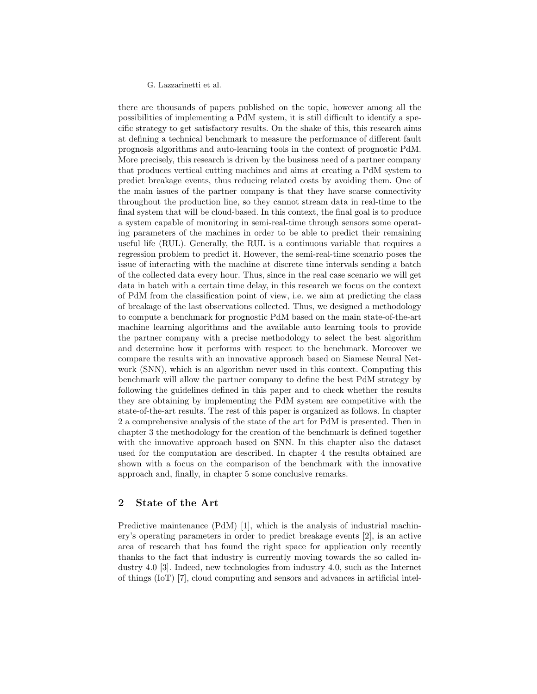there are thousands of papers published on the topic, however among all the possibilities of implementing a PdM system, it is still difficult to identify a specific strategy to get satisfactory results. On the shake of this, this research aims at defining a technical benchmark to measure the performance of different fault prognosis algorithms and auto-learning tools in the context of prognostic PdM. More precisely, this research is driven by the business need of a partner company that produces vertical cutting machines and aims at creating a PdM system to predict breakage events, thus reducing related costs by avoiding them. One of the main issues of the partner company is that they have scarse connectivity throughout the production line, so they cannot stream data in real-time to the final system that will be cloud-based. In this context, the final goal is to produce a system capable of monitoring in semi-real-time through sensors some operating parameters of the machines in order to be able to predict their remaining useful life (RUL). Generally, the RUL is a continuous variable that requires a regression problem to predict it. However, the semi-real-time scenario poses the issue of interacting with the machine at discrete time intervals sending a batch of the collected data every hour. Thus, since in the real case scenario we will get data in batch with a certain time delay, in this research we focus on the context of PdM from the classification point of view, i.e. we aim at predicting the class of breakage of the last observations collected. Thus, we designed a methodology to compute a benchmark for prognostic PdM based on the main state-of-the-art machine learning algorithms and the available auto learning tools to provide the partner company with a precise methodology to select the best algorithm and determine how it performs with respect to the benchmark. Moreover we compare the results with an innovative approach based on Siamese Neural Network (SNN), which is an algorithm never used in this context. Computing this benchmark will allow the partner company to define the best PdM strategy by following the guidelines defined in this paper and to check whether the results they are obtaining by implementing the PdM system are competitive with the state-of-the-art results. The rest of this paper is organized as follows. In chapter 2 a comprehensive analysis of the state of the art for PdM is presented. Then in chapter 3 the methodology for the creation of the benchmark is defined together with the innovative approach based on SNN. In this chapter also the dataset used for the computation are described. In chapter 4 the results obtained are shown with a focus on the comparison of the benchmark with the innovative approach and, finally, in chapter 5 some conclusive remarks.

## 2 State of the Art

Predictive maintenance (PdM) [1], which is the analysis of industrial machinery's operating parameters in order to predict breakage events [2], is an active area of research that has found the right space for application only recently thanks to the fact that industry is currently moving towards the so called industry 4.0 [3]. Indeed, new technologies from industry 4.0, such as the Internet of things (IoT) [7], cloud computing and sensors and advances in artificial intel-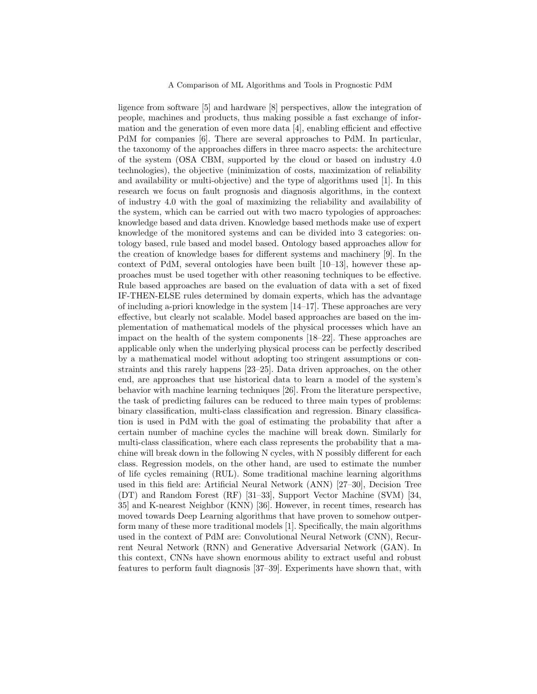ligence from software [5] and hardware [8] perspectives, allow the integration of people, machines and products, thus making possible a fast exchange of information and the generation of even more data [4], enabling efficient and effective PdM for companies [6]. There are several approaches to PdM. In particular, the taxonomy of the approaches differs in three macro aspects: the architecture of the system (OSA CBM, supported by the cloud or based on industry 4.0 technologies), the objective (minimization of costs, maximization of reliability and availability or multi-objective) and the type of algorithms used [1]. In this research we focus on fault prognosis and diagnosis algorithms, in the context of industry 4.0 with the goal of maximizing the reliability and availability of the system, which can be carried out with two macro typologies of approaches: knowledge based and data driven. Knowledge based methods make use of expert knowledge of the monitored systems and can be divided into 3 categories: ontology based, rule based and model based. Ontology based approaches allow for the creation of knowledge bases for different systems and machinery [9]. In the context of PdM, several ontologies have been built [10–13], however these approaches must be used together with other reasoning techniques to be effective. Rule based approaches are based on the evaluation of data with a set of fixed IF-THEN-ELSE rules determined by domain experts, which has the advantage of including a-priori knowledge in the system  $[14-17]$ . These approaches are very effective, but clearly not scalable. Model based approaches are based on the implementation of mathematical models of the physical processes which have an impact on the health of the system components [18–22]. These approaches are applicable only when the underlying physical process can be perfectly described by a mathematical model without adopting too stringent assumptions or constraints and this rarely happens [23–25]. Data driven approaches, on the other end, are approaches that use historical data to learn a model of the system's behavior with machine learning techniques [26]. From the literature perspective, the task of predicting failures can be reduced to three main types of problems: binary classification, multi-class classification and regression. Binary classification is used in PdM with the goal of estimating the probability that after a certain number of machine cycles the machine will break down. Similarly for multi-class classification, where each class represents the probability that a machine will break down in the following N cycles, with N possibly different for each class. Regression models, on the other hand, are used to estimate the number of life cycles remaining (RUL). Some traditional machine learning algorithms used in this field are: Artificial Neural Network (ANN) [27–30], Decision Tree (DT) and Random Forest (RF) [31–33], Support Vector Machine (SVM) [34, 35] and K-nearest Neighbor (KNN) [36]. However, in recent times, research has moved towards Deep Learning algorithms that have proven to somehow outperform many of these more traditional models [1]. Specifically, the main algorithms used in the context of PdM are: Convolutional Neural Network (CNN), Recurrent Neural Network (RNN) and Generative Adversarial Network (GAN). In this context, CNNs have shown enormous ability to extract useful and robust features to perform fault diagnosis [37–39]. Experiments have shown that, with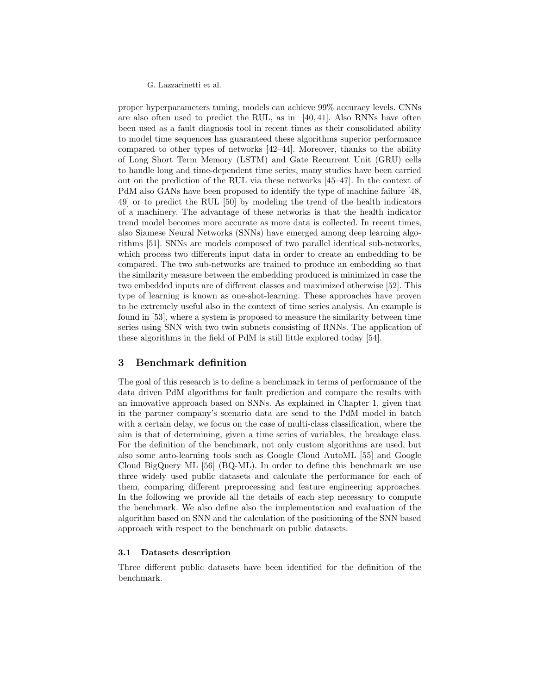proper hyperparameters tuning, models can achieve 99% accuracy levels. CNNs are also often used to predict the RUL, as in [40, 41]. Also RNNs have often been used as a fault diagnosis tool in recent times as their consolidated ability to model time sequences has guaranteed these algorithms superior performance compared to other types of networks [42–44]. Moreover, thanks to the ability of Long Short Term Memory (LSTM) and Gate Recurrent Unit (GRU) cells to handle long and time-dependent time series, many studies have been carried out on the prediction of the RUL via these networks [45–47]. In the context of PdM also GANs have been proposed to identify the type of machine failure [48, 49] or to predict the RUL [50] by modeling the trend of the health indicators of a machinery. The advantage of these networks is that the health indicator trend model becomes more accurate as more data is collected. In recent times, also Siamese Neural Networks (SNNs) have emerged among deep learning algorithms [51]. SNNs are models composed of two parallel identical sub-networks, which process two differents input data in order to create an embedding to be compared. The two sub-networks are trained to produce an embedding so that the similarity measure between the embedding produced is minimized in case the two embedded inputs are of different classes and maximized otherwise [52]. This type of learning is known as one-shot-learning. These approaches have proven to be extremely useful also in the context of time series analysis. An example is found in [53], where a system is proposed to measure the similarity between time series using SNN with two twin subnets consisting of RNNs. The application of these algorithms in the field of PdM is still little explored today [54].

## 3 Benchmark definition

The goal of this research is to define a benchmark in terms of performance of the data driven PdM algorithms for fault prediction and compare the results with an innovative approach based on SNNs. As explained in Chapter 1, given that in the partner company's scenario data are send to the PdM model in batch with a certain delay, we focus on the case of multi-class classification, where the aim is that of determining, given a time series of variables, the breakage class. For the definition of the benchmark, not only custom algorithms are used, but also some auto-learning tools such as Google Cloud AutoML [55] and Google Cloud BigQuery ML [56] (BQ-ML). In order to define this benchmark we use three widely used public datasets and calculate the performance for each of them, comparing different preprocessing and feature engineering approaches. In the following we provide all the details of each step necessary to compute the benchmark. We also define also the implementation and evaluation of the algorithm based on SNN and the calculation of the positioning of the SNN based approach with respect to the benchmark on public datasets.

#### 3.1 Datasets description

Three different public datasets have been identified for the definition of the benchmark.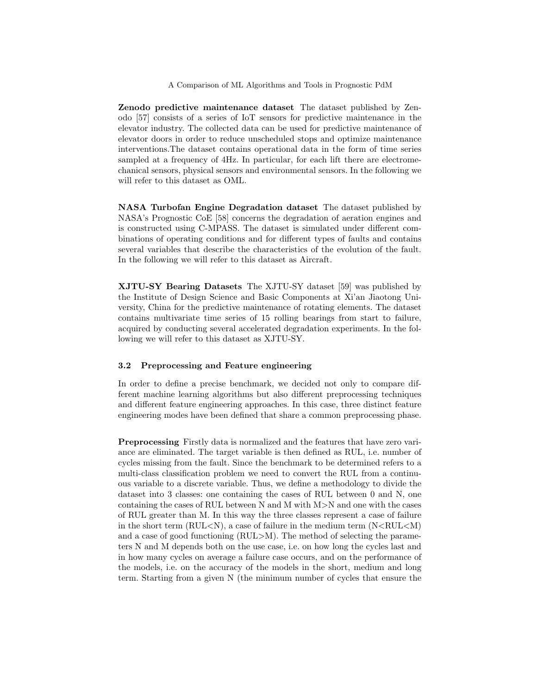Zenodo predictive maintenance dataset The dataset published by Zenodo [57] consists of a series of IoT sensors for predictive maintenance in the elevator industry. The collected data can be used for predictive maintenance of elevator doors in order to reduce unscheduled stops and optimize maintenance interventions.The dataset contains operational data in the form of time series sampled at a frequency of 4Hz. In particular, for each lift there are electromechanical sensors, physical sensors and environmental sensors. In the following we will refer to this dataset as OML.

NASA Turbofan Engine Degradation dataset The dataset published by NASA's Prognostic CoE [58] concerns the degradation of aeration engines and is constructed using C-MPASS. The dataset is simulated under different combinations of operating conditions and for different types of faults and contains several variables that describe the characteristics of the evolution of the fault. In the following we will refer to this dataset as Aircraft.

XJTU-SY Bearing Datasets The XJTU-SY dataset [59] was published by the Institute of Design Science and Basic Components at Xi'an Jiaotong University, China for the predictive maintenance of rotating elements. The dataset contains multivariate time series of 15 rolling bearings from start to failure, acquired by conducting several accelerated degradation experiments. In the following we will refer to this dataset as XJTU-SY.

## 3.2 Preprocessing and Feature engineering

In order to define a precise benchmark, we decided not only to compare different machine learning algorithms but also different preprocessing techniques and different feature engineering approaches. In this case, three distinct feature engineering modes have been defined that share a common preprocessing phase.

Preprocessing Firstly data is normalized and the features that have zero variance are eliminated. The target variable is then defined as RUL, i.e. number of cycles missing from the fault. Since the benchmark to be determined refers to a multi-class classification problem we need to convert the RUL from a continuous variable to a discrete variable. Thus, we define a methodology to divide the dataset into 3 classes: one containing the cases of RUL between 0 and N, one containing the cases of RUL between N and M with M>N and one with the cases of RUL greater than M. In this way the three classes represent a case of failure in the short term ( $RUL < N$ ), a case of failure in the medium term  $(N < RUL < M)$ and a case of good functioning (RUL>M). The method of selecting the parameters N and M depends both on the use case, i.e. on how long the cycles last and in how many cycles on average a failure case occurs, and on the performance of the models, i.e. on the accuracy of the models in the short, medium and long term. Starting from a given N (the minimum number of cycles that ensure the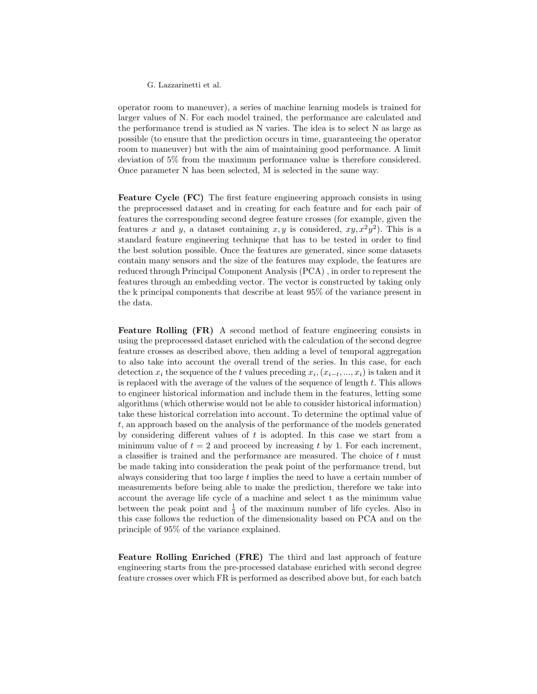operator room to maneuver), a series of machine learning models is trained for larger values of N. For each model trained, the performance are calculated and the performance trend is studied as N varies. The idea is to select N as large as possible (to ensure that the prediction occurs in time, guaranteeing the operator room to maneuver) but with the aim of maintaining good performance. A limit deviation of 5% from the maximum performance value is therefore considered. Once parameter N has been selected, M is selected in the same way.

Feature Cycle (FC) The first feature engineering approach consists in using the preprocessed dataset and in creating for each feature and for each pair of features the corresponding second degree feature crosses (for example, given the features x and y, a dataset containing  $x, y$  is considered,  $xy, x^2y^2$ . This is a standard feature engineering technique that has to be tested in order to find the best solution possible. Once the features are generated, since some datasets contain many sensors and the size of the features may explode, the features are reduced through Principal Component Analysis (PCA) , in order to represent the features through an embedding vector. The vector is constructed by taking only the k principal components that describe at least 95% of the variance present in the data.

Feature Rolling (FR) A second method of feature engineering consists in using the preprocessed dataset enriched with the calculation of the second degree feature crosses as described above, then adding a level of temporal aggregation to also take into account the overall trend of the series. In this case, for each detection  $x_i$  the sequence of the t values preceding  $x_i, (x_{i-t}, ..., x_i)$  is taken and it is replaced with the average of the values of the sequence of length t. This allows to engineer historical information and include them in the features, letting some algorithms (which otherwise would not be able to consider historical information) take these historical correlation into account. To determine the optimal value of t, an approach based on the analysis of the performance of the models generated by considering different values of  $t$  is adopted. In this case we start from a minimum value of  $t = 2$  and proceed by increasing t by 1. For each increment, a classifier is trained and the performance are measured. The choice of t must be made taking into consideration the peak point of the performance trend, but always considering that too large t implies the need to have a certain number of measurements before being able to make the prediction, therefore we take into account the average life cycle of a machine and select t as the minimum value between the peak point and  $\frac{1}{3}$  of the maximum number of life cycles. Also in this case follows the reduction of the dimensionality based on PCA and on the principle of 95% of the variance explained.

Feature Rolling Enriched (FRE) The third and last approach of feature engineering starts from the pre-processed database enriched with second degree feature crosses over which FR is performed as described above but, for each batch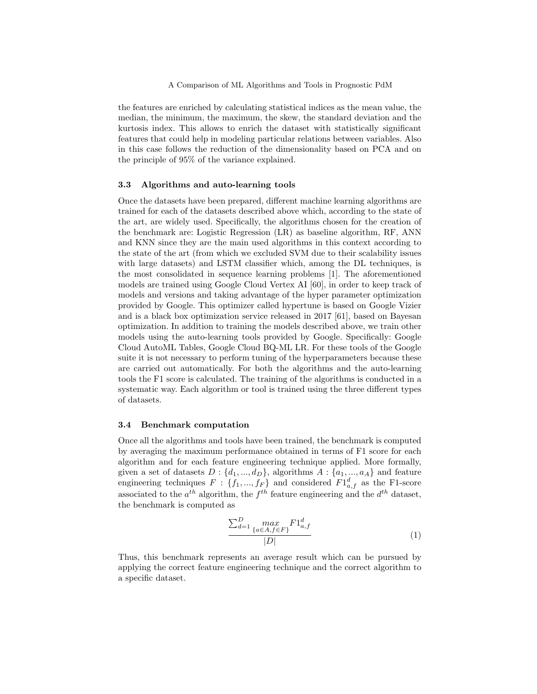the features are enriched by calculating statistical indices as the mean value, the median, the minimum, the maximum, the skew, the standard deviation and the kurtosis index. This allows to enrich the dataset with statistically significant features that could help in modeling particular relations between variables. Also in this case follows the reduction of the dimensionality based on PCA and on the principle of 95% of the variance explained.

#### 3.3 Algorithms and auto-learning tools

Once the datasets have been prepared, different machine learning algorithms are trained for each of the datasets described above which, according to the state of the art, are widely used. Specifically, the algorithms chosen for the creation of the benchmark are: Logistic Regression (LR) as baseline algorithm, RF, ANN and KNN since they are the main used algorithms in this context according to the state of the art (from which we excluded SVM due to their scalability issues with large datasets) and LSTM classifier which, among the DL techniques, is the most consolidated in sequence learning problems [1]. The aforementioned models are trained using Google Cloud Vertex AI [60], in order to keep track of models and versions and taking advantage of the hyper parameter optimization provided by Google. This optimizer called hypertune is based on Google Vizier and is a black box optimization service released in 2017 [61], based on Bayesan optimization. In addition to training the models described above, we train other models using the auto-learning tools provided by Google. Specifically: Google Cloud AutoML Tables, Google Cloud BQ-ML LR. For these tools of the Google suite it is not necessary to perform tuning of the hyperparameters because these are carried out automatically. For both the algorithms and the auto-learning tools the F1 score is calculated. The training of the algorithms is conducted in a systematic way. Each algorithm or tool is trained using the three different types of datasets.

#### 3.4 Benchmark computation

Once all the algorithms and tools have been trained, the benchmark is computed by averaging the maximum performance obtained in terms of F1 score for each algorithm and for each feature engineering technique applied. More formally, given a set of datasets  $D: \{d_1, ..., d_D\}$ , algorithms  $A: \{a_1, ..., a_A\}$  and feature engineering techniques  $F : \{f_1, ..., f_F\}$  and considered  $F1_{a,f}^d$  as the F1-score associated to the  $a^{th}$  algorithm, the  $f^{th}$  feature engineering and the  $d^{th}$  dataset, the benchmark is computed as

$$
\frac{\sum_{d=1}^{D} \max_{\{a \in A, f \in F\}} F1_{a,f}^d}{|D|}
$$
 (1)

Thus, this benchmark represents an average result which can be pursued by applying the correct feature engineering technique and the correct algorithm to a specific dataset.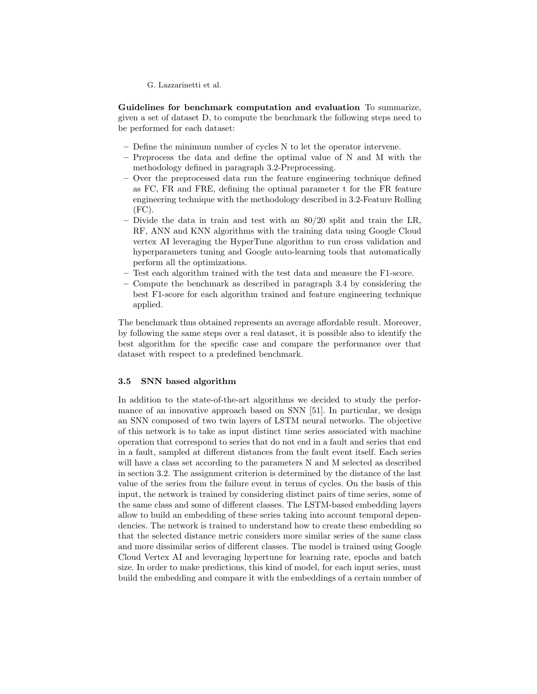Guidelines for benchmark computation and evaluation To summarize, given a set of dataset D, to compute the benchmark the following steps need to be performed for each dataset:

- Define the minimum number of cycles N to let the operator intervene.
- Preprocess the data and define the optimal value of N and M with the methodology defined in paragraph 3.2-Preprocessing.
- Over the preprocessed data run the feature engineering technique defined as FC, FR and FRE, defining the optimal parameter t for the FR feature engineering technique with the methodology described in 3.2-Feature Rolling (FC).
- Divide the data in train and test with an 80/20 split and train the LR, RF, ANN and KNN algorithms with the training data using Google Cloud vertex AI leveraging the HyperTune algorithm to run cross validation and hyperparameters tuning and Google auto-learning tools that automatically perform all the optimizations.
- Test each algorithm trained with the test data and measure the F1-score.
- Compute the benchmark as described in paragraph 3.4 by considering the best F1-score for each algorithm trained and feature engineering technique applied.

The benchmark thus obtained represents an average affordable result. Moreover, by following the same steps over a real dataset, it is possible also to identify the best algorithm for the specific case and compare the performance over that dataset with respect to a predefined benchmark.

## 3.5 SNN based algorithm

In addition to the state-of-the-art algorithms we decided to study the performance of an innovative approach based on SNN [51]. In particular, we design an SNN composed of two twin layers of LSTM neural networks. The objective of this network is to take as input distinct time series associated with machine operation that correspond to series that do not end in a fault and series that end in a fault, sampled at different distances from the fault event itself. Each series will have a class set according to the parameters N and M selected as described in section 3.2. The assignment criterion is determined by the distance of the last value of the series from the failure event in terms of cycles. On the basis of this input, the network is trained by considering distinct pairs of time series, some of the same class and some of different classes. The LSTM-based embedding layers allow to build an embedding of these series taking into account temporal dependencies. The network is trained to understand how to create these embedding so that the selected distance metric considers more similar series of the same class and more dissimilar series of different classes. The model is trained using Google Cloud Vertex AI and leveraging hypertune for learning rate, epochs and batch size. In order to make predictions, this kind of model, for each input series, must build the embedding and compare it with the embeddings of a certain number of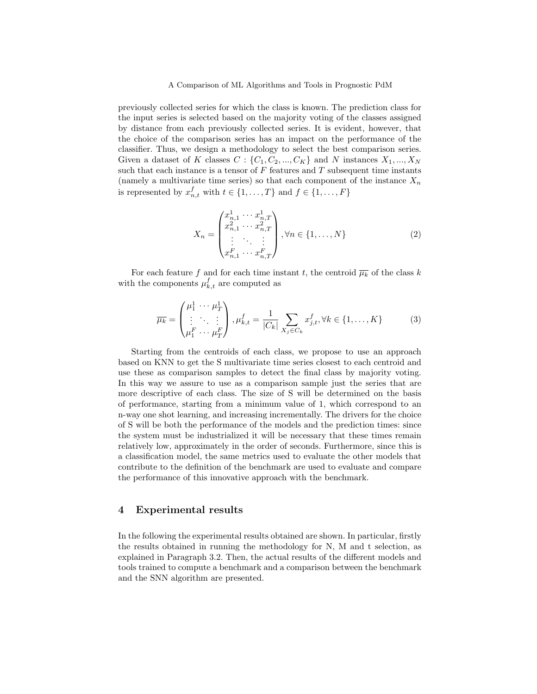previously collected series for which the class is known. The prediction class for the input series is selected based on the majority voting of the classes assigned by distance from each previously collected series. It is evident, however, that the choice of the comparison series has an impact on the performance of the classifier. Thus, we design a methodology to select the best comparison series. Given a dataset of K classes  $C: \{C_1, C_2, ..., C_K\}$  and N instances  $X_1, ..., X_N$ such that each instance is a tensor of  $F$  features and  $T$  subsequent time instants (namely a multivariate time series) so that each component of the instance  $X_n$ is represented by  $x_{n,t}^f$  with  $t \in \{1, ..., T\}$  and  $f \in \{1, ..., F\}$ 

$$
X_n = \begin{pmatrix} x_{n,1}^1 & \cdots & x_{n,T}^1 \\ x_{n,1}^2 & \cdots & x_{n,T}^2 \\ \vdots & \ddots & \vdots \\ x_{n,1}^F & \cdots & x_{n,T}^F \end{pmatrix}, \forall n \in \{1, \ldots, N\}
$$
 (2)

For each feature f and for each time instant t, the centroid  $\overline{\mu_k}$  of the class k with the components  $\mu_{k,t}^f$  are computed as

$$
\overline{\mu_k} = \begin{pmatrix} \mu_1^1 & \cdots & \mu_T^1 \\ \vdots & \ddots & \vdots \\ \mu_1^F & \cdots & \mu_T^F \end{pmatrix}, \mu_{k,t}^f = \frac{1}{|C_k|} \sum_{X_j \in C_k} x_{j,t}^f, \forall k \in \{1, \dots, K\}
$$
(3)

Starting from the centroids of each class, we propose to use an approach based on KNN to get the S multivariate time series closest to each centroid and use these as comparison samples to detect the final class by majority voting. In this way we assure to use as a comparison sample just the series that are more descriptive of each class. The size of S will be determined on the basis of performance, starting from a minimum value of 1, which correspond to an n-way one shot learning, and increasing incrementally. The drivers for the choice of S will be both the performance of the models and the prediction times: since the system must be industrialized it will be necessary that these times remain relatively low, approximately in the order of seconds. Furthermore, since this is a classification model, the same metrics used to evaluate the other models that contribute to the definition of the benchmark are used to evaluate and compare the performance of this innovative approach with the benchmark.

## 4 Experimental results

In the following the experimental results obtained are shown. In particular, firstly the results obtained in running the methodology for N, M and t selection, as explained in Paragraph 3.2. Then, the actual results of the different models and tools trained to compute a benchmark and a comparison between the benchmark and the SNN algorithm are presented.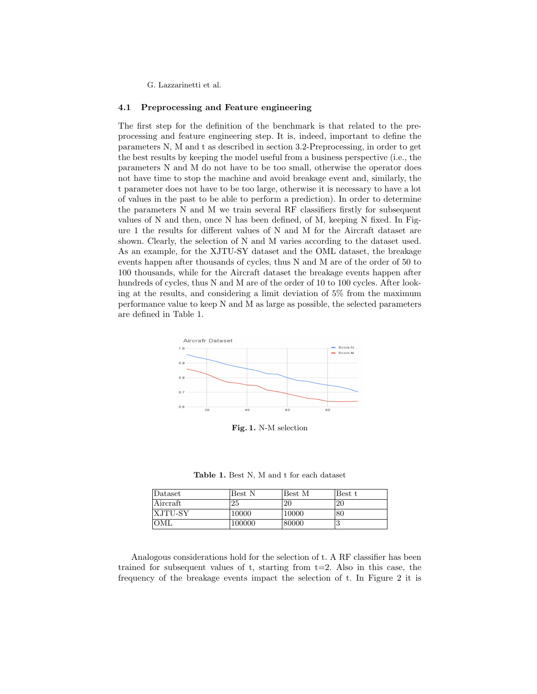## 4.1 Preprocessing and Feature engineering

The first step for the definition of the benchmark is that related to the preprocessing and feature engineering step. It is, indeed, important to define the parameters N, M and t as described in section 3.2-Preprocessing, in order to get the best results by keeping the model useful from a business perspective (i.e., the parameters N and M do not have to be too small, otherwise the operator does not have time to stop the machine and avoid breakage event and, similarly, the t parameter does not have to be too large, otherwise it is necessary to have a lot of values in the past to be able to perform a prediction). In order to determine the parameters N and M we train several RF classifiers firstly for subsequent values of N and then, once N has been defined, of M, keeping N fixed. In Figure 1 the results for different values of N and M for the Aircraft dataset are shown. Clearly, the selection of N and M varies according to the dataset used. As an example, for the XJTU-SY dataset and the OML dataset, the breakage events happen after thousands of cycles, thus N and M are of the order of 50 to 100 thousands, while for the Aircraft dataset the breakage events happen after hundreds of cycles, thus N and M are of the order of 10 to 100 cycles. After looking at the results, and considering a limit deviation of 5% from the maximum performance value to keep N and M as large as possible, the selected parameters are defined in Table 1.



Fig. 1. N-M selection

Table 1. Best N, M and t for each dataset

| Dataset  | Best N | Best M | Best t |
|----------|--------|--------|--------|
| Aircraft | 25     | 20     | 20     |
| XJTU-SY  | 10000  | 10000  | 80     |
| OML      | 100000 | 80000  |        |

Analogous considerations hold for the selection of t. A RF classifier has been trained for subsequent values of  $t$ , starting from  $t=2$ . Also in this case, the frequency of the breakage events impact the selection of t. In Figure 2 it is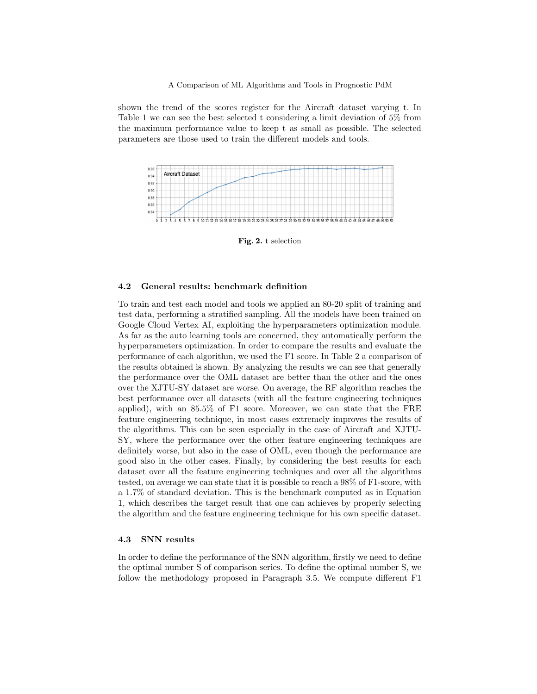shown the trend of the scores register for the Aircraft dataset varying t. In Table 1 we can see the best selected t considering a limit deviation of 5% from the maximum performance value to keep t as small as possible. The selected parameters are those used to train the different models and tools.



Fig. 2. t selection

#### 4.2 General results: benchmark definition

To train and test each model and tools we applied an 80-20 split of training and test data, performing a stratified sampling. All the models have been trained on Google Cloud Vertex AI, exploiting the hyperparameters optimization module. As far as the auto learning tools are concerned, they automatically perform the hyperparameters optimization. In order to compare the results and evaluate the performance of each algorithm, we used the F1 score. In Table 2 a comparison of the results obtained is shown. By analyzing the results we can see that generally the performance over the OML dataset are better than the other and the ones over the XJTU-SY dataset are worse. On average, the RF algorithm reaches the best performance over all datasets (with all the feature engineering techniques applied), with an 85.5% of F1 score. Moreover, we can state that the FRE feature engineering technique, in most cases extremely improves the results of the algorithms. This can be seen especially in the case of Aircraft and XJTU-SY, where the performance over the other feature engineering techniques are definitely worse, but also in the case of OML, even though the performance are good also in the other cases. Finally, by considering the best results for each dataset over all the feature engineering techniques and over all the algorithms tested, on average we can state that it is possible to reach a 98% of F1-score, with a 1.7% of standard deviation. This is the benchmark computed as in Equation 1, which describes the target result that one can achieves by properly selecting the algorithm and the feature engineering technique for his own specific dataset.

## 4.3 SNN results

In order to define the performance of the SNN algorithm, firstly we need to define the optimal number S of comparison series. To define the optimal number S, we follow the methodology proposed in Paragraph 3.5. We compute different F1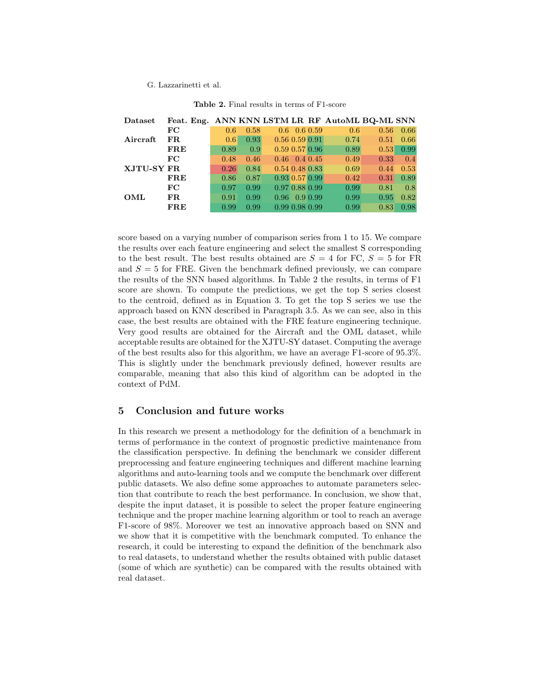| Dataset    | Feat. Eng. ANN KNN LSTM LR RF AutoML BQ-ML SNN |      |      |      |                            |      |      |      |
|------------|------------------------------------------------|------|------|------|----------------------------|------|------|------|
| Aircraft   | $_{\rm FC}$                                    | 0.6  | 0.58 |      | $0.6 \quad 0.6 \quad 0.59$ | 0.6  | 0.56 | 0.66 |
|            | FR.                                            | 0.6  | 0.93 |      | 0.56 0.59 0.91             | 0.74 | 0.51 | 0.66 |
|            | $_{\rm FRE}$                                   | 0.89 | 0.9  |      | $0.59$ $0.57$ $0.96$       | 0.89 | 0.53 | 0.99 |
| XJTU-SY FR | $_{\rm FC}$                                    | 0.48 | 0.46 |      | $0.46$ 0.4 0.45            | 0.49 | 0.33 | 0.4  |
|            |                                                | 0.26 | 0.84 |      | $0.54$ $0.48$ $0.83$       | 0.69 | 0.44 | 0.53 |
|            | <b>FRE</b>                                     | 0.86 | 0.87 |      | $0.93$ $0.57$ $0.99$       | 0.42 | 0.31 | 0.89 |
| OML        | $_{\rm FC}$                                    | 0.97 | 0.99 |      | 0.97 0.88 0.99             | 0.99 | 0.81 | 0.8  |
|            | FR.                                            | 0.91 | 0.99 | 0.96 | $0.9\,0.99$                | 0.99 | 0.95 | 0.82 |
|            | <b>FRE</b>                                     | 0.99 | 0.99 |      | 0.99 0.98 0.99             | 0.99 | 0.83 | 0.98 |

| <b>Table 2.</b> Final results in terms of F1-score |
|----------------------------------------------------|
|                                                    |

score based on a varying number of comparison series from 1 to 15. We compare the results over each feature engineering and select the smallest S corresponding to the best result. The best results obtained are  $S = 4$  for FC,  $S = 5$  for FR and  $S = 5$  for FRE. Given the benchmark defined previously, we can compare the results of the SNN based algorithms. In Table 2 the results, in terms of F1 score are shown. To compute the predictions, we get the top S series closest to the centroid, defined as in Equation 3. To get the top S series we use the approach based on KNN described in Paragraph 3.5. As we can see, also in this case, the best results are obtained with the FRE feature engineering technique. Very good results are obtained for the Aircraft and the OML dataset, while acceptable results are obtained for the XJTU-SY dataset. Computing the average of the best results also for this algorithm, we have an average F1-score of 95.3%. This is slightly under the benchmark previously defined, however results are comparable, meaning that also this kind of algorithm can be adopted in the context of PdM.

## 5 Conclusion and future works

In this research we present a methodology for the definition of a benchmark in terms of performance in the context of prognostic predictive maintenance from the classification perspective. In defining the benchmark we consider different preprocessing and feature engineering techniques and different machine learning algorithms and auto-learning tools and we compute the benchmark over different public datasets. We also define some approaches to automate parameters selection that contribute to reach the best performance. In conclusion, we show that, despite the input dataset, it is possible to select the proper feature engineering technique and the proper machine learning algorithm or tool to reach an average F1-score of 98%. Moreover we test an innovative approach based on SNN and we show that it is competitive with the benchmark computed. To enhance the research, it could be interesting to expand the definition of the benchmark also to real datasets, to understand whether the results obtained with public dataset (some of which are synthetic) can be compared with the results obtained with real dataset.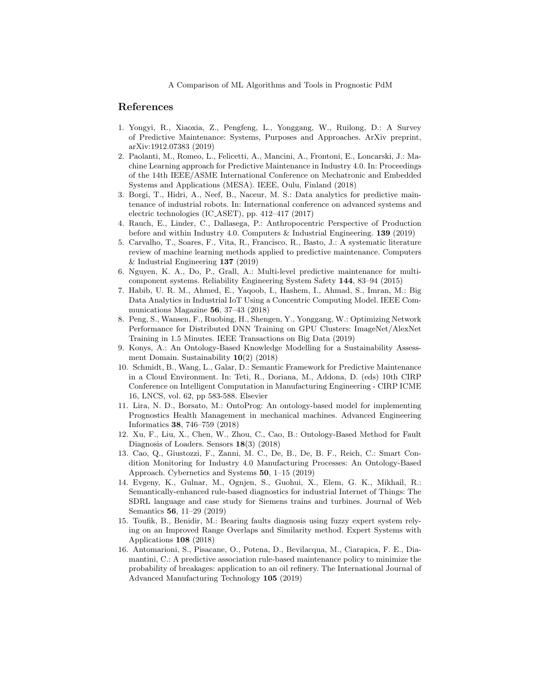## References

- 1. Yongyi, R., Xiaoxia, Z., Pengfeng, L., Yonggang, W., Ruilong, D.: A Survey of Predictive Maintenance: Systems, Purposes and Approaches. ArXiv preprint, arXiv:1912.07383 (2019)
- 2. Paolanti, M., Romeo, L., Felicetti, A., Mancini, A., Frontoni, E., Loncarski, J.: Machine Learning approach for Predictive Maintenance in Industry 4.0. In: Proceedings of the 14th IEEE/ASME International Conference on Mechatronic and Embedded Systems and Applications (MESA). IEEE, Oulu, Finland (2018)
- 3. Borgi, T., Hidri, A., Neef, B., Naceur, M. S.: Data analytics for predictive maintenance of industrial robots. In: International conference on advanced systems and electric technologies (IC ASET), pp. 412–417 (2017)
- 4. Rauch, E., Linder, C., Dallasega, P.: Anthropocentric Perspective of Production before and within Industry 4.0. Computers & Industrial Engineering. 139 (2019)
- 5. Carvalho, T., Soares, F., Vita, R., Francisco, R., Basto, J.: A systematic literature review of machine learning methods applied to predictive maintenance. Computers & Industrial Engineering 137 (2019)
- 6. Nguyen, K. A., Do, P., Grall, A.: Multi-level predictive maintenance for multicomponent systems. Reliability Engineering System Safety 144, 83–94 (2015)
- 7. Habib, U. R. M., Ahmed, E., Yaqoob, I., Hashem, I., Ahmad, S., Imran, M.: Big Data Analytics in Industrial IoT Using a Concentric Computing Model. IEEE Communications Magazine 56, 37–43 (2018)
- 8. Peng, S., Wansen, F., Ruobing, H., Shengen, Y., Yonggang, W.: Optimizing Network Performance for Distributed DNN Training on GPU Clusters: ImageNet/AlexNet Training in 1.5 Minutes. IEEE Transactions on Big Data (2019)
- 9. Konys, A.: An Ontology-Based Knowledge Modelling for a Sustainability Assessment Domain. Sustainability 10(2) (2018)
- 10. Schmidt, B., Wang, L., Galar, D.: Semantic Framework for Predictive Maintenance in a Cloud Environment. In: Teti, R., Doriana, M., Addona, D. (eds) 10th CIRP Conference on Intelligent Computation in Manufacturing Engineering - CIRP ICME 16, LNCS, vol. 62, pp 583-588. Elsevier
- 11. Lira, N. D., Borsato, M.: OntoProg: An ontology-based model for implementing Prognostics Health Management in mechanical machines. Advanced Engineering Informatics 38, 746–759 (2018)
- 12. Xu, F., Liu, X., Chen, W., Zhou, C., Cao, B.: Ontology-Based Method for Fault Diagnosis of Loaders. Sensors 18(3) (2018)
- 13. Cao, Q., Giustozzi, F., Zanni, M. C., De, B., De, B. F., Reich, C.: Smart Condition Monitoring for Industry 4.0 Manufacturing Processes: An Ontology-Based Approach. Cybernetics and Systems 50, 1–15 (2019)
- 14. Evgeny, K., Gulnar, M., Ognjen, S., Guohui, X., Elem, G. K., Mikhail, R.: Semantically-enhanced rule-based diagnostics for industrial Internet of Things: The SDRL language and case study for Siemens trains and turbines. Journal of Web Semantics 56, 11–29 (2019)
- 15. Toufik, B., Benidir, M.: Bearing faults diagnosis using fuzzy expert system relying on an Improved Range Overlaps and Similarity method. Expert Systems with Applications 108 (2018)
- 16. Antomarioni, S., Pisacane, O., Potena, D., Bevilacqua, M., Ciarapica, F. E., Diamantini, C.: A predictive association rule-based maintenance policy to minimize the probability of breakages: application to an oil refinery. The International Journal of Advanced Manufacturing Technology 105 (2019)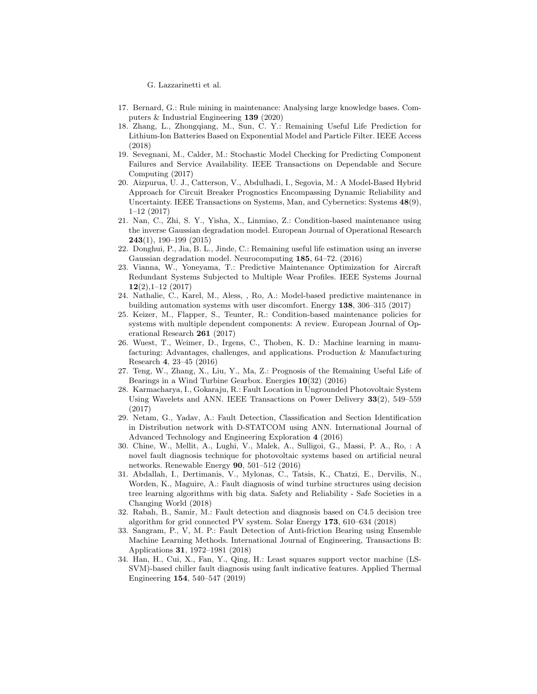- 17. Bernard, G.: Rule mining in maintenance: Analysing large knowledge bases. Computers & Industrial Engineering 139 (2020)
- 18. Zhang, L., Zhongqiang, M., Sun, C. Y.: Remaining Useful Life Prediction for Lithium-Ion Batteries Based on Exponential Model and Particle Filter. IEEE Access (2018)
- 19. Sevegnani, M., Calder, M.: Stochastic Model Checking for Predicting Component Failures and Service Availability. IEEE Transactions on Dependable and Secure Computing (2017)
- 20. Aizpurua, U. J., Catterson, V., Abdulhadi, I., Segovia, M.: A Model-Based Hybrid Approach for Circuit Breaker Prognostics Encompassing Dynamic Reliability and Uncertainty. IEEE Transactions on Systems, Man, and Cybernetics: Systems 48(9), 1–12 (2017)
- 21. Nan, C., Zhi, S. Y., Yisha, X., Linmiao, Z.: Condition-based maintenance using the inverse Gaussian degradation model. European Journal of Operational Research 243(1), 190–199 (2015)
- 22. Donghui, P., Jia, B. L., Jinde, C.: Remaining useful life estimation using an inverse Gaussian degradation model. Neurocomputing 185, 64–72. (2016)
- 23. Vianna, W., Yoneyama, T.: Predictive Maintenance Optimization for Aircraft Redundant Systems Subjected to Multiple Wear Profiles. IEEE Systems Journal  $12(2)$ , 1-12  $(2017)$
- 24. Nathalie, C., Karel, M., Aless, , Ro, A.: Model-based predictive maintenance in building automation systems with user discomfort. Energy 138, 306–315 (2017)
- 25. Keizer, M., Flapper, S., Teunter, R.: Condition-based maintenance policies for systems with multiple dependent components: A review. European Journal of Operational Research 261 (2017)
- 26. Wuest, T., Weimer, D., Irgens, C., Thoben, K. D.: Machine learning in manufacturing: Advantages, challenges, and applications. Production & Manufacturing Research 4, 23–45 (2016)
- 27. Teng, W., Zhang, X., Liu, Y., Ma, Z.: Prognosis of the Remaining Useful Life of Bearings in a Wind Turbine Gearbox. Energies 10(32) (2016)
- 28. Karmacharya, I., Gokaraju, R.: Fault Location in Ungrounded Photovoltaic System Using Wavelets and ANN. IEEE Transactions on Power Delivery 33(2), 549–559 (2017)
- 29. Netam, G., Yadav, A.: Fault Detection, Classification and Section Identification in Distribution network with D-STATCOM using ANN. International Journal of Advanced Technology and Engineering Exploration 4 (2016)
- 30. Chine, W., Mellit, A., Lughi, V., Malek, A., Sulligoi, G., Massi, P. A., Ro, : A novel fault diagnosis technique for photovoltaic systems based on artificial neural networks. Renewable Energy 90, 501–512 (2016)
- 31. Abdallah, I., Dertimanis, V., Mylonas, C., Tatsis, K., Chatzi, E., Dervilis, N., Worden, K., Maguire, A.: Fault diagnosis of wind turbine structures using decision tree learning algorithms with big data. Safety and Reliability - Safe Societies in a Changing World (2018)
- 32. Rabah, B., Samir, M.: Fault detection and diagnosis based on C4.5 decision tree algorithm for grid connected PV system. Solar Energy 173, 610–634 (2018)
- 33. Sangram, P., V, M. P.: Fault Detection of Anti-friction Bearing using Ensemble Machine Learning Methods. International Journal of Engineering, Transactions B: Applications 31, 1972–1981 (2018)
- 34. Han, H., Cui, X., Fan, Y., Qing, H.: Least squares support vector machine (LS-SVM)-based chiller fault diagnosis using fault indicative features. Applied Thermal Engineering 154, 540–547 (2019)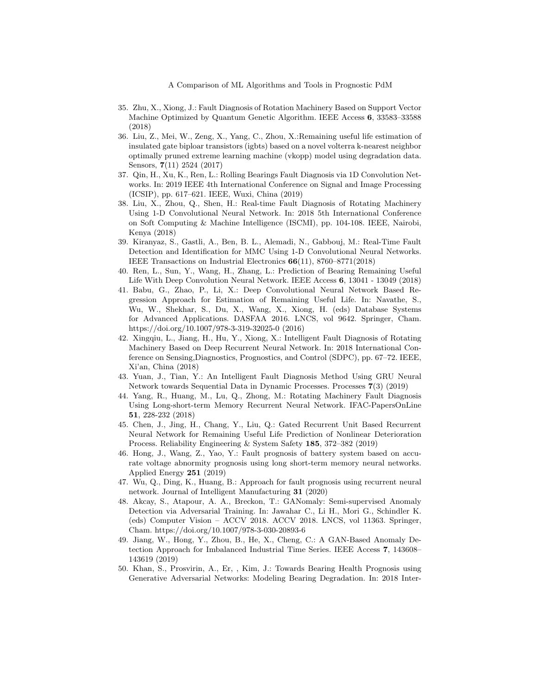- 35. Zhu, X., Xiong, J.: Fault Diagnosis of Rotation Machinery Based on Support Vector Machine Optimized by Quantum Genetic Algorithm. IEEE Access 6, 33583–33588 (2018)
- 36. Liu, Z., Mei, W., Zeng, X., Yang, C., Zhou, X.:Remaining useful life estimation of insulated gate biploar transistors (igbts) based on a novel volterra k-nearest neighbor optimally pruned extreme learning machine (vkopp) model using degradation data. Sensors, 7(11) 2524 (2017)
- 37. Qin, H., Xu, K., Ren, L.: Rolling Bearings Fault Diagnosis via 1D Convolution Networks. In: 2019 IEEE 4th International Conference on Signal and Image Processing (ICSIP), pp. 617–621. IEEE, Wuxi, China (2019)
- 38. Liu, X., Zhou, Q., Shen, H.: Real-time Fault Diagnosis of Rotating Machinery Using 1-D Convolutional Neural Network. In: 2018 5th International Conference on Soft Computing & Machine Intelligence (ISCMI), pp. 104-108. IEEE, Nairobi, Kenya (2018)
- 39. Kiranyaz, S., Gastli, A., Ben, B. L., Alemadi, N., Gabbouj, M.: Real-Time Fault Detection and Identification for MMC Using 1-D Convolutional Neural Networks. IEEE Transactions on Industrial Electronics 66(11), 8760–8771(2018)
- 40. Ren, L., Sun, Y., Wang, H., Zhang, L.: Prediction of Bearing Remaining Useful Life With Deep Convolution Neural Network. IEEE Access 6, 13041 - 13049 (2018)
- 41. Babu, G., Zhao, P., Li, X.: Deep Convolutional Neural Network Based Regression Approach for Estimation of Remaining Useful Life. In: Navathe, S., Wu, W., Shekhar, S., Du, X., Wang, X., Xiong, H. (eds) Database Systems for Advanced Applications. DASFAA 2016. LNCS, vol 9642. Springer, Cham. https://doi.org/10.1007/978-3-319-32025-0 (2016)
- 42. Xingqiu, L., Jiang, H., Hu, Y., Xiong, X.: Intelligent Fault Diagnosis of Rotating Machinery Based on Deep Recurrent Neural Network. In: 2018 International Conference on Sensing,Diagnostics, Prognostics, and Control (SDPC), pp. 67–72. IEEE, Xi'an, China (2018)
- 43. Yuan, J., Tian, Y.: An Intelligent Fault Diagnosis Method Using GRU Neural Network towards Sequential Data in Dynamic Processes. Processes 7(3) (2019)
- 44. Yang, R., Huang, M., Lu, Q., Zhong, M.: Rotating Machinery Fault Diagnosis Using Long-short-term Memory Recurrent Neural Network. IFAC-PapersOnLine 51, 228-232 (2018)
- 45. Chen, J., Jing, H., Chang, Y., Liu, Q.: Gated Recurrent Unit Based Recurrent Neural Network for Remaining Useful Life Prediction of Nonlinear Deterioration Process. Reliability Engineering & System Safety 185, 372–382 (2019)
- 46. Hong, J., Wang, Z., Yao, Y.: Fault prognosis of battery system based on accurate voltage abnormity prognosis using long short-term memory neural networks. Applied Energy 251 (2019)
- 47. Wu, Q., Ding, K., Huang, B.: Approach for fault prognosis using recurrent neural network. Journal of Intelligent Manufacturing 31 (2020)
- 48. Akcay, S., Atapour, A. A., Breckon, T.: GANomaly: Semi-supervised Anomaly Detection via Adversarial Training. In: Jawahar C., Li H., Mori G., Schindler K. (eds) Computer Vision – ACCV 2018. ACCV 2018. LNCS, vol 11363. Springer, Cham. https://doi.org/10.1007/978-3-030-20893-6
- 49. Jiang, W., Hong, Y., Zhou, B., He, X., Cheng, C.: A GAN-Based Anomaly Detection Approach for Imbalanced Industrial Time Series. IEEE Access 7, 143608– 143619 (2019)
- 50. Khan, S., Prosvirin, A., Er, , Kim, J.: Towards Bearing Health Prognosis using Generative Adversarial Networks: Modeling Bearing Degradation. In: 2018 Inter-